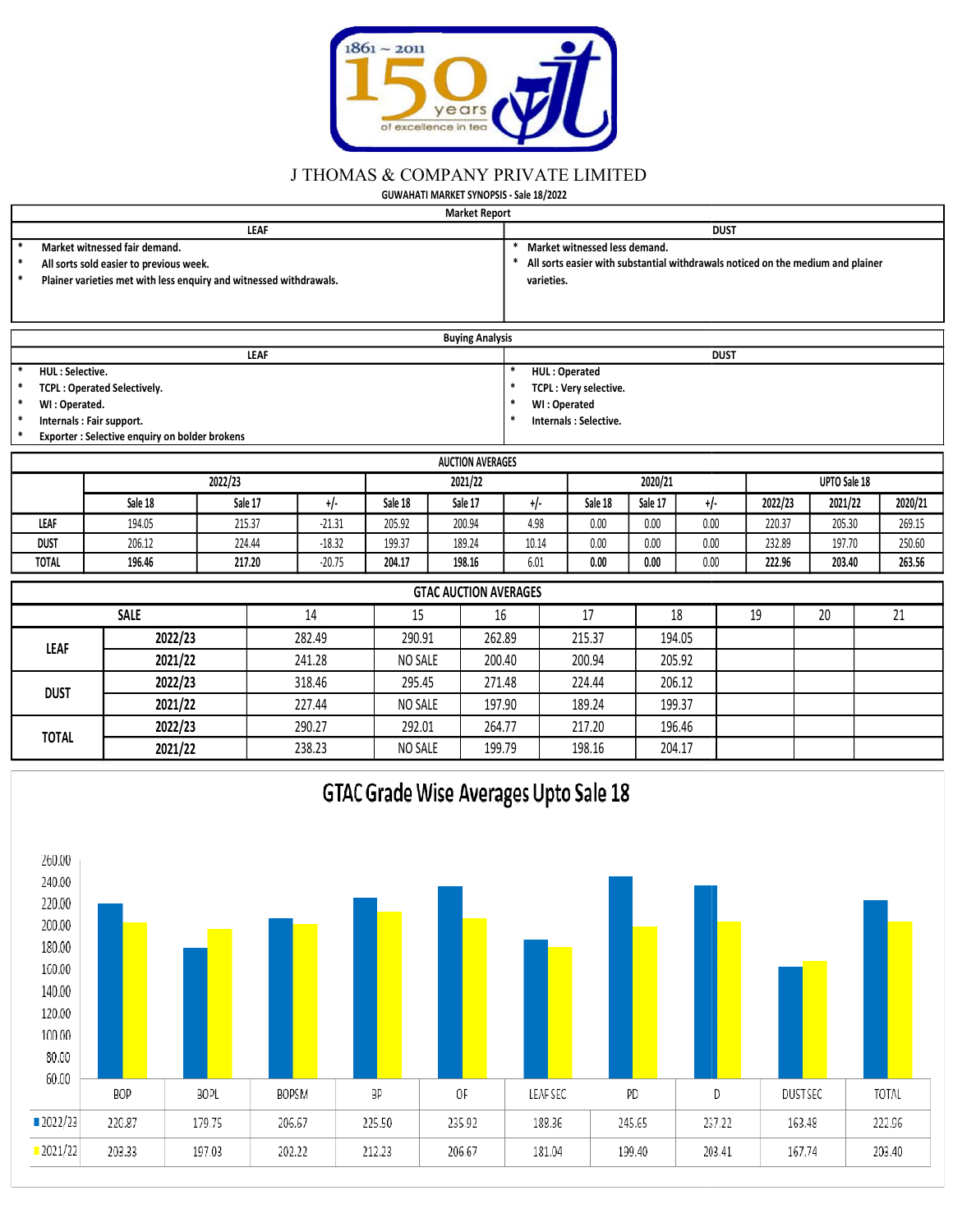

## J THOMAS & COMPANY PRIVATE LIMITED

|                                                                                                                                                                                                  |                                                |         |              |                                               | years /<br>of excellence in tea         |              |                       |              |             |         |              |         |  |  |  |
|--------------------------------------------------------------------------------------------------------------------------------------------------------------------------------------------------|------------------------------------------------|---------|--------------|-----------------------------------------------|-----------------------------------------|--------------|-----------------------|--------------|-------------|---------|--------------|---------|--|--|--|
|                                                                                                                                                                                                  |                                                |         |              | <b>J THOMAS &amp; COMPANY PRIVATE LIMITED</b> |                                         |              |                       |              |             |         |              |         |  |  |  |
|                                                                                                                                                                                                  |                                                |         |              |                                               | GUWAHATI MARKET SYNOPSIS - Sale 18/2022 |              |                       |              |             |         |              |         |  |  |  |
|                                                                                                                                                                                                  |                                                |         |              |                                               | <b>Market Report</b>                    |              |                       |              |             |         |              |         |  |  |  |
| <b>LEAF</b><br><b>DUST</b>                                                                                                                                                                       |                                                |         |              |                                               |                                         |              |                       |              |             |         |              |         |  |  |  |
| Market witnessed fair demand.<br>Market witnessed less demand.                                                                                                                                   |                                                |         |              |                                               |                                         |              |                       |              |             |         |              |         |  |  |  |
| All sorts easier with substantial withdrawals noticed on the medium and plainer<br>All sorts sold easier to previous week.<br>Plainer varieties met with less enquiry and witnessed withdrawals. |                                                |         |              |                                               |                                         |              |                       |              |             |         |              |         |  |  |  |
|                                                                                                                                                                                                  |                                                |         |              |                                               |                                         |              | varieties.            |              |             |         |              |         |  |  |  |
|                                                                                                                                                                                                  |                                                |         |              |                                               |                                         |              |                       |              |             |         |              |         |  |  |  |
|                                                                                                                                                                                                  |                                                |         |              |                                               | <b>Buying Analysis</b>                  |              |                       |              |             |         |              |         |  |  |  |
|                                                                                                                                                                                                  |                                                |         | <b>LEAF</b>  |                                               |                                         |              |                       |              | <b>DUST</b> |         |              |         |  |  |  |
| <b>HUL: Selective.</b>                                                                                                                                                                           |                                                |         |              |                                               |                                         |              | HUL: Operated         |              |             |         |              |         |  |  |  |
| $\ast$<br><b>TCPL: Operated Selectively.</b>                                                                                                                                                     |                                                |         |              |                                               |                                         |              | TCPL: Very selective. |              |             |         |              |         |  |  |  |
| $\ast$<br>WI: Operated.                                                                                                                                                                          |                                                |         |              |                                               |                                         |              | WI: Operated          |              |             |         |              |         |  |  |  |
| *<br>Internals : Fair support.                                                                                                                                                                   |                                                |         |              |                                               |                                         |              | Internals: Selective. |              |             |         |              |         |  |  |  |
|                                                                                                                                                                                                  | Exporter : Selective enquiry on bolder brokens |         |              |                                               |                                         |              |                       |              |             |         |              |         |  |  |  |
|                                                                                                                                                                                                  |                                                |         |              |                                               | <b>AUCTION AVERAGES</b>                 |              |                       |              |             |         |              |         |  |  |  |
|                                                                                                                                                                                                  |                                                | 2022/23 |              |                                               | 2021/22                                 |              |                       | 2020/21      |             |         | UPTO Sale 18 |         |  |  |  |
|                                                                                                                                                                                                  | Sale 18                                        | Sale 17 | $+/-$        | Sale 18                                       | Sale 17                                 | $+/-$        | Sale 18               | Sale 17      | $+/-$       | 2022/23 | 2021/22      | 2020/21 |  |  |  |
|                                                                                                                                                                                                  |                                                |         |              |                                               |                                         |              |                       |              | 0.00        | 220.37  | 205.30       | 269.15  |  |  |  |
| LEAF                                                                                                                                                                                             | 194.05                                         | 215.37  | $-21.31$     | 205.92                                        | 200.94                                  | 4.98         | 0.00                  | 0.00         |             |         |              |         |  |  |  |
| <b>DUST</b>                                                                                                                                                                                      | 206.12                                         | 224.44  | $-18.32$     | 199.37                                        | 189.24                                  | 10.14        | 0.00                  | $0.00\,$     | 0.00        | 232.89  | 197.70       | 250.60  |  |  |  |
| <b>TOTAL</b>                                                                                                                                                                                     | 196.46                                         | 217.20  | $-20.75$     | 204.17                                        | 198.16                                  | 6.01         | 0.00                  | 0.00         | 0.00        | 222.96  | 203.40       | 263.56  |  |  |  |
|                                                                                                                                                                                                  |                                                |         |              |                                               |                                         |              |                       |              |             |         |              |         |  |  |  |
|                                                                                                                                                                                                  |                                                |         |              |                                               | <b>GTAC AUCTION AVERAGES</b>            |              |                       |              |             |         |              |         |  |  |  |
|                                                                                                                                                                                                  | <b>SALE</b><br>2022/23                         |         | 14<br>282.49 | 15<br>290.91                                  |                                         | 16<br>262.89 | 17<br>215.37          | 18<br>194.05 |             | 19      | 20           | 21      |  |  |  |

| <b>Buying Analysis</b>             |                       |
|------------------------------------|-----------------------|
| <b>LEAF</b>                        | <b>DUST</b>           |
| <b>HUL: Selective.</b>             | <b>HUL: Operated</b>  |
| <b>TCPL: Operated Selectively.</b> | TCPL: Very selective. |
| WI: Operated.                      | WI: Operated          |
| Internals: Fair support.           | Internals: Selective. |

|              |         |         |          |         | <b>AUCTION AVERAGES</b> |       |         |         |       |         |              |         |
|--------------|---------|---------|----------|---------|-------------------------|-------|---------|---------|-------|---------|--------------|---------|
|              |         | 2022/23 |          |         | 2021/22                 |       |         | 2020/21 |       |         | UPTO Sale 18 |         |
|              | Sale 18 | Sale 17 |          | Sale 18 | Sale 17                 |       | Sale 18 | Sale 17 | $+1-$ | 2022/23 | 2021/22      | 2020/21 |
| LEAF         | 194.05  | 215.37  | $-21.31$ | 205.92  | 200.94                  | 4.98  | 0.00    | 0.00    | 0.00  | 220.37  | 205.30       | 269.15  |
| <b>DUST</b>  | 206.12  | 224.44  | $-18.32$ | 199.37  | 189.24                  | 10.14 | 0.00    | 0.00    | 0.00  | 232.89  | 197.70       | 250.60  |
| <b>TOTAL</b> | 196.46  | 217.20  | $-20.75$ | 204.17  | 198.16                  | 6.01  | 0.00    | 0.00    | 0.00  | 222.96  | 203.40       | 263.56  |

| iviarket witnessed fair demand.<br>$\ast$<br>All sorts sold easier to previous week.<br>$\ast$<br>Plainer varieties met with less enquiry and witnessed withdrawals. |                                                                             |                   |             |          |                                                                    |                         |                              | varieties.    | iviarket witnessed less demand. |          |             | All sorts easier with substantial withdrawals noticed on the medium and plainer |    |                                                       |         |
|----------------------------------------------------------------------------------------------------------------------------------------------------------------------|-----------------------------------------------------------------------------|-------------------|-------------|----------|--------------------------------------------------------------------|-------------------------|------------------------------|---------------|---------------------------------|----------|-------------|---------------------------------------------------------------------------------|----|-------------------------------------------------------|---------|
|                                                                                                                                                                      |                                                                             |                   |             |          |                                                                    | <b>Buying Analysis</b>  |                              |               |                                 |          |             |                                                                                 |    |                                                       |         |
|                                                                                                                                                                      |                                                                             |                   | <b>LEAF</b> |          |                                                                    |                         |                              |               |                                 |          | <b>DUST</b> |                                                                                 |    |                                                       |         |
| $\ast$<br><b>HUL: Selective.</b>                                                                                                                                     |                                                                             |                   |             |          |                                                                    |                         | $\ast$                       | HUL: Operated |                                 |          |             |                                                                                 |    |                                                       |         |
| $\ast$                                                                                                                                                               | <b>TCPL: Operated Selectively.</b>                                          |                   |             |          |                                                                    |                         | $\ast$                       |               | TCPL: Very selective.           |          |             |                                                                                 |    |                                                       |         |
| $\ast$<br>WI: Operated.<br>$\ast$                                                                                                                                    |                                                                             |                   |             |          |                                                                    |                         | $\ast$                       | WI: Operated  |                                 |          |             |                                                                                 |    |                                                       |         |
|                                                                                                                                                                      | Internals : Fair support.<br>Exporter : Selective enquiry on bolder brokens |                   |             |          |                                                                    |                         |                              |               | Internals : Selective.          |          |             |                                                                                 |    |                                                       |         |
|                                                                                                                                                                      |                                                                             |                   |             |          |                                                                    |                         |                              |               |                                 |          |             |                                                                                 |    |                                                       |         |
|                                                                                                                                                                      |                                                                             |                   |             |          |                                                                    | <b>AUCTION AVERAGES</b> |                              |               |                                 |          |             |                                                                                 |    |                                                       |         |
|                                                                                                                                                                      |                                                                             | 2022/23           |             |          |                                                                    | 2021/22                 |                              |               | 2020/21                         |          |             |                                                                                 |    |                                                       |         |
|                                                                                                                                                                      | Sale 18                                                                     |                   | Sale 17     | $+/-$    | Sale 18                                                            | Sale 17                 |                              | $+/-$         | Sale 18                         | Sale 17  | $+/-$       | 2022/23                                                                         |    |                                                       | 2020/21 |
| LEAF                                                                                                                                                                 | 194.05                                                                      |                   | 215.37      | $-21.31$ | 205.92                                                             | 200.94                  |                              | 4.98          | 0.00                            | $0.00\,$ | 0.00        | 220.37                                                                          |    |                                                       | 269.15  |
| <b>DUST</b>                                                                                                                                                          | 206.12                                                                      |                   | 224.44      | $-18.32$ | 199.37                                                             | 189.24                  |                              | 10.14         | 0.00                            | 0.00     | 0.00        | 232.89                                                                          |    |                                                       | 250.60  |
| <b>TOTAL</b>                                                                                                                                                         | 196.46                                                                      |                   | 217.20      | $-20.75$ | 204.17                                                             | 198.16                  |                              | 6.01          | 0.00                            | 0.00     | 0.00        | 222.96                                                                          |    |                                                       | 263.56  |
|                                                                                                                                                                      |                                                                             |                   |             |          |                                                                    |                         | <b>GTAC AUCTION AVERAGES</b> |               |                                 |          |             |                                                                                 |    |                                                       |         |
|                                                                                                                                                                      | <b>SALE</b>                                                                 |                   |             | 14       | 15                                                                 |                         | 16                           |               | 17                              | 18       |             | 19                                                                              | 20 |                                                       | 21      |
|                                                                                                                                                                      | 2022/23                                                                     |                   |             | 282.49   |                                                                    |                         | 262.89                       |               | 215.37                          |          |             |                                                                                 |    |                                                       |         |
| LEAF                                                                                                                                                                 |                                                                             | 2021/22<br>241.28 |             |          | NO SALE                                                            |                         | 200.40                       |               |                                 |          | 205.92      |                                                                                 |    | UPTO Sale 18<br>2021/22<br>205.30<br>197.70<br>203.40 |         |
| <b>DUST</b>                                                                                                                                                          | 2022/23                                                                     |                   |             | 318.46   | 290.91<br>194.05<br>200.94<br>295.45<br>271.48<br>224.44<br>206.12 |                         |                              |               |                                 |          |             |                                                                                 |    |                                                       |         |
|                                                                                                                                                                      | 2021/22                                                                     |                   |             | 227.44   | NO SALE                                                            |                         | 197.90                       |               | 189.24                          |          | 199.37      |                                                                                 |    |                                                       |         |
| <b>TOTAL</b>                                                                                                                                                         | 2022/23                                                                     |                   |             | 290.27   | 292.01                                                             |                         | 264.77                       |               | 217.20                          | 196.46   |             |                                                                                 |    |                                                       |         |
|                                                                                                                                                                      | 2021/22                                                                     |                   |             | 238.23   | NO SALE                                                            |                         | 199.79                       |               | 198.16                          |          | 204.17      |                                                                                 |    |                                                       |         |
|                                                                                                                                                                      |                                                                             |                   |             |          | GTAC Grade Wise Averages Upto Sale 18                              |                         |                              |               |                                 |          |             |                                                                                 |    |                                                       |         |

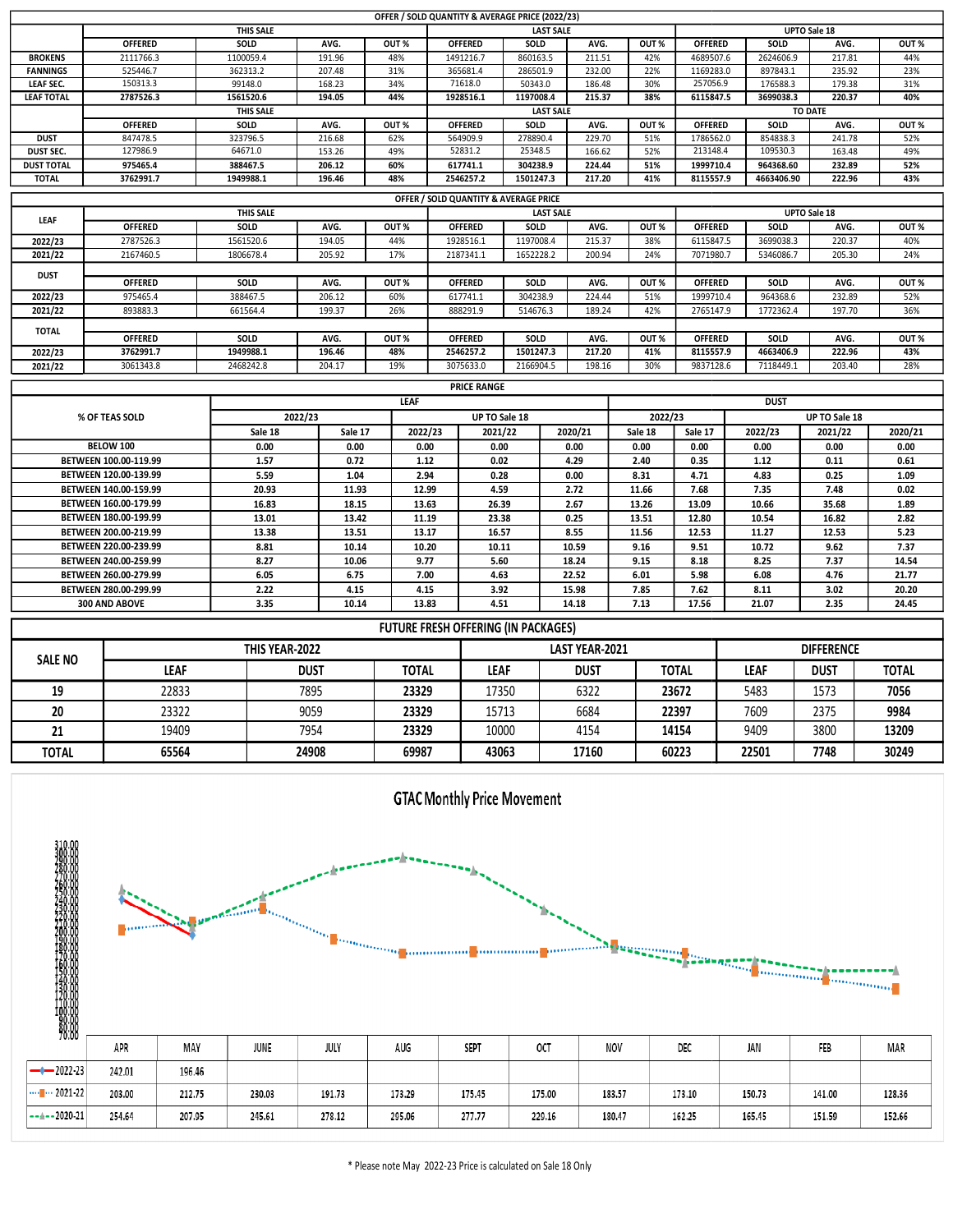|                              |                                                | THIS SALE           |                  |               | OFFER / SOLD QUANTITY & AVERAGE PRICE (2022/23) |                     | <b>LAST SALE</b> |               |                             |                      | UPTO Sale 18      |               |
|------------------------------|------------------------------------------------|---------------------|------------------|---------------|-------------------------------------------------|---------------------|------------------|---------------|-----------------------------|----------------------|-------------------|---------------|
|                              | <b>OFFERED</b>                                 | SOLD                | AVG.             | OUT%          | <b>OFFERED</b>                                  | SOLD                | AVG.             | OUT%          | <b>OFFERED</b>              | SOLD                 | AVG.              | OUT %         |
| <b>BROKENS</b>               | 2111766.3                                      | 1100059.4           | 191.96           | 48%           | 1491216.7                                       | 860163.5            | 211.51           | 42%           | 4689507.6                   | 2624606.9            | 217.81            | 44%           |
| <b>FANNINGS</b><br>LEAF SEC. | 525446.7<br>150313.3                           | 362313.2<br>99148.0 | 207.48<br>168.23 | 31%<br>34%    | 365681.4<br>71618.0                             | 286501.9<br>50343.0 | 232.00<br>186.48 | 22%<br>30%    | 1169283.0<br>257056.9       | 897843.1<br>176588.3 | 235.92<br>179.38  | 23%<br>31%    |
| <b>LEAF TOTAL</b>            | 2787526.3                                      | 1561520.6           | 194.05           | 44%           | 1928516.1                                       | 1197008.4           | 215.37           | 38%           | 6115847.5                   | 3699038.3            | 220.37            | 40%           |
|                              |                                                | <b>THIS SALE</b>    |                  |               |                                                 |                     | <b>LAST SALE</b> |               |                             |                      | <b>TO DATE</b>    |               |
| <b>DUST</b>                  | <b>OFFERED</b><br>847478.5                     | SOLD<br>323796.5    | AVG.<br>216.68   | OUT%<br>62%   | <b>OFFERED</b><br>564909.9                      | SOLD<br>278890.4    | AVG.<br>229.70   | OUT%<br>51%   | <b>OFFERED</b><br>1786562.0 | SOLD<br>854838.3     | AVG.<br>241.78    | OUT %<br>52%  |
| DUST SEC.                    | 127986.9                                       | 64671.0             | 153.26           | 49%           | 52831.2                                         | 25348.5             | 166.62           | 52%           | 213148.4                    | 109530.3             | 163.48            | 49%           |
| <b>DUST TOTAL</b>            | 975465.4                                       | 388467.5            | 206.12           | 60%           | 617741.1                                        | 304238.9            | 224.44           | 51%           | 1999710.4                   | 964368.60            | 232.89            | 52%           |
| TOTAL                        | 3762991.7                                      | 1949988.1           | 196.46           | 48%           | 2546257.2                                       | 1501247.3           | 217.20           | 41%           | 8115557.9                   | 4663406.90           | 222.96            | 43%           |
|                              |                                                | THIS SALE           |                  |               | OFFER / SOLD QUANTITY & AVERAGE PRICE           |                     | <b>LAST SALE</b> |               |                             |                      | UPTO Sale 18      |               |
| LEAF                         | <b>OFFERED</b>                                 | SOLD                | AVG.             | OUT %         | <b>OFFERED</b>                                  | SOLD                | AVG.             | OUT %         | <b>OFFERED</b>              | SOLD                 | AVG.              | OUT %         |
| 2022/23                      | 2787526.3                                      | 1561520.6           | 194.05           | 44%           | 1928516.1                                       | 1197008.4           | 215.37           | 38%           | 6115847.5                   | 3699038.3            | 220.37            | 40%           |
| 2021/22                      | 2167460.5                                      | 1806678.4           | 205.92           | 17%           | 2187341.1                                       | 1652228.2           | 200.94           | 24%           | 7071980.7                   | 5346086.7            | 205.30            | 24%           |
| <b>DUST</b>                  | <b>OFFERED</b>                                 | SOLD                | AVG.             | OUT%          | <b>OFFERED</b>                                  | SOLD                | AVG.             | OUT %         | <b>OFFERED</b>              | SOLD                 | AVG.              | OUT %         |
| 2022/23                      | 975465.4                                       | 388467.5            | 206.12           | 60%           | 617741.1                                        | 304238.9            | 224.44           | 51%           | 1999710.4                   | 964368.6             | 232.89            | 52%           |
| 2021/22                      | 893883.3                                       | 661564.4            | 199.37           | 26%           | 888291.9                                        | 514676.3            | 189.24           | 42%           | 2765147.9                   | 1772362.4            | 197.70            | 36%           |
| TOTAL                        | <b>OFFERED</b>                                 | SOLD                | AVG.             | OUT %         | <b>OFFERED</b>                                  | SOLD                | AVG.             | OUT %         | <b>OFFERED</b>              | SOLD                 | AVG.              | OUT %         |
| 2022/23                      | 3762991.7                                      | 1949988.1           | 196.46           | 48%           | 2546257.2                                       | 1501247.3           | 217.20           | 41%           | 8115557.9                   | 4663406.9            | 222.96            | 43%           |
| 2021/22                      | 3061343.8                                      | 2468242.8           | 204.17           | 19%           | 3075633.0                                       | 2166904.5           | 198.16           | 30%           | 9837128.6                   | 7118449.1            | 203.40            | 28%           |
|                              |                                                |                     |                  |               | <b>PRICE RANGE</b>                              |                     |                  |               |                             |                      |                   |               |
|                              | % OF TEAS SOLD                                 | 2022/23             |                  | <b>LEAF</b>   | UP TO Sale 18                                   |                     |                  | 2022/23       |                             | <b>DUST</b>          | UP TO Sale 18     |               |
|                              |                                                | Sale 18             | Sale 17          | 2022/23       | 2021/22                                         |                     | 2020/21          | Sale 18       | Sale 17                     | 2022/23              | 2021/22           | 2020/21       |
|                              | BELOW 100                                      | 0.00                | 0.00             | 0.00          | 0.00                                            |                     | 0.00             | 0.00          | 0.00                        | 0.00                 | 0.00              | 0.00          |
|                              | BETWEEN 100.00-119.99                          | 1.57                | 0.72             | $1.12\,$      | 0.02                                            |                     | 4.29             | 2.40          | 0.35                        | $1.12\,$             | 0.11              | $\bf 0.61$    |
|                              | BETWEEN 120.00-139.99<br>BETWEEN 140.00-159.99 | 5.59<br>20.93       | 1.04<br>11.93    | 2.94<br>12.99 | 0.28<br>4.59                                    |                     | 0.00<br>2.72     | 8.31<br>11.66 | 4.71<br>7.68                | 4.83<br>7.35         | 0.25<br>7.48      | 1.09<br>0.02  |
|                              | BETWEEN 160.00-179.99                          | 16.83               | 18.15            | 13.63         | 26.39                                           |                     | 2.67             | 13.26         | 13.09                       | 10.66                | 35.68             | 1.89          |
|                              | BETWEEN 180.00-199.99                          | 13.01               | 13.42            | 11.19         | 23.38                                           |                     | 0.25             | 13.51         | 12.80                       | 10.54                | 16.82             | 2.82          |
|                              | BETWEEN 200.00-219.99                          | 13.38               | 13.51            | 13.17         | 16.57                                           |                     | 8.55             | 11.56         | 12.53                       | 11.27                | 12.53             | 5.23          |
|                              | BETWEEN 220.00-239.99<br>BETWEEN 240.00-259.99 | 8.81<br>8.27        | 10.14<br>10.06   | 10.20<br>9.77 | 10.11<br>5.60                                   |                     | 10.59<br>18.24   | 9.16<br>9.15  | 9.51<br>8.18                | 10.72<br>8.25        | 9.62<br>7.37      | 7.37<br>14.54 |
|                              | BETWEEN 260.00-279.99                          | 6.05                | 6.75             | 7.00          | 4.63                                            |                     | 22.52            | 6.01          | 5.98                        | 6.08                 | 4.76              | 21.77         |
|                              | BETWEEN 280.00-299.99                          | 2.22                | 4.15             | 4.15          | 3.92                                            |                     | 15.98            | 7.85          | 7.62                        | 8.11                 | 3.02              | 20.20         |
|                              | 300 AND ABOVE                                  | 3.35                | 10.14            | 13.83         | 4.51                                            |                     | 14.18            | 7.13          | 17.56                       | 21.07                | 2.35              | 24.45         |
|                              |                                                |                     |                  |               | FUTURE FRESH OFFERING (IN PACKAGES)             |                     |                  |               |                             |                      |                   |               |
|                              |                                                | THIS YEAR-2022      |                  |               |                                                 |                     | LAST YEAR-2021   |               |                             |                      | <b>DIFFERENCE</b> |               |
| <b>SALE NO</b>               | <b>LEAF</b>                                    |                     | <b>DUST</b>      | <b>TOTAL</b>  | LEAF                                            |                     | <b>DUST</b>      |               | <b>TOTAL</b>                | <b>LEAF</b>          | <b>DUST</b>       | <b>TOTAL</b>  |
| 19                           | 22833                                          |                     | 7895             | 23329         | 17350                                           |                     | 6322             |               | 23672                       | 5483                 | 1573              | 7056          |
|                              | 23322                                          |                     | 9059             | 23329         | 15713                                           |                     | 6684             |               | 22397                       | 7609                 | 2375              | 9984          |
|                              | 19409                                          |                     | 7954             | 23329         | 10000                                           |                     | 4154             |               | 14154                       | 9409                 | 3800              | 13209         |
| 20                           |                                                |                     |                  |               |                                                 |                     |                  |               |                             |                      |                   |               |
| 21                           |                                                |                     |                  |               |                                                 |                     |                  |               |                             |                      |                   |               |
| <b>TOTAL</b>                 | 65564                                          |                     | 24908            | 69987         | 43063                                           |                     | 17160            |               | 60223                       | 22501                | 7748              | 30249         |



\* Please note May 2022-23 Price is calculated on Sale 18 Only